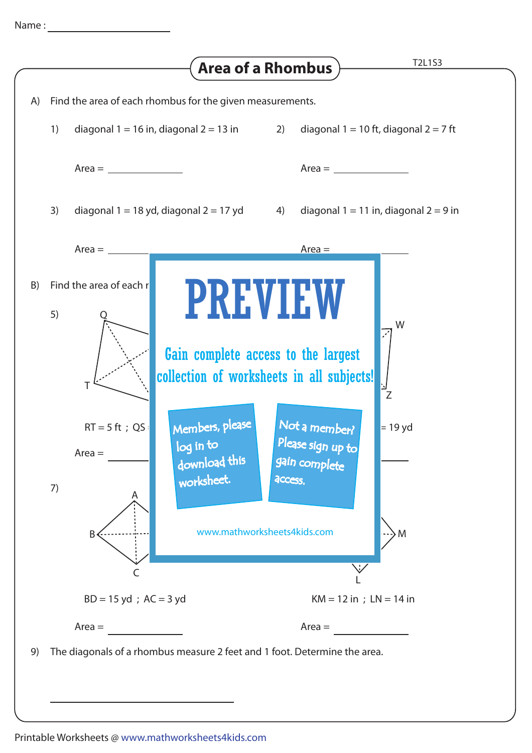